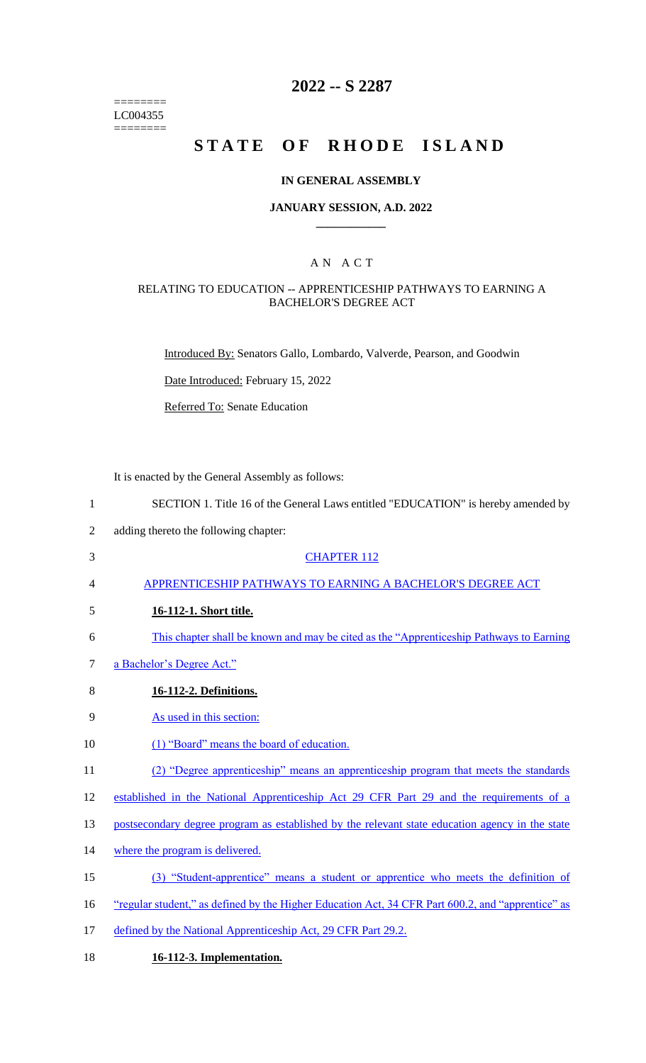======== LC004355  $=$ 

# **2022 -- S 2287**

# **STATE OF RHODE ISLAND**

### **IN GENERAL ASSEMBLY**

#### **JANUARY SESSION, A.D. 2022 \_\_\_\_\_\_\_\_\_\_\_\_**

### A N A C T

### RELATING TO EDUCATION -- APPRENTICESHIP PATHWAYS TO EARNING A BACHELOR'S DEGREE ACT

Introduced By: Senators Gallo, Lombardo, Valverde, Pearson, and Goodwin

Date Introduced: February 15, 2022

Referred To: Senate Education

It is enacted by the General Assembly as follows:

| $\mathbf{1}$   | SECTION 1. Title 16 of the General Laws entitled "EDUCATION" is hereby amended by                 |
|----------------|---------------------------------------------------------------------------------------------------|
| $\overline{2}$ | adding thereto the following chapter:                                                             |
| 3              | <b>CHAPTER 112</b>                                                                                |
| 4              | APPRENTICESHIP PATHWAYS TO EARNING A BACHELOR'S DEGREE ACT                                        |
| 5              | 16-112-1. Short title.                                                                            |
| 6              | This chapter shall be known and may be cited as the "Apprenticeship Pathways to Earning"          |
| 7              | a Bachelor's Degree Act."                                                                         |
| 8              | 16-112-2. Definitions.                                                                            |
| 9              | As used in this section:                                                                          |
| 10             | (1) "Board" means the board of education.                                                         |
| 11             | (2) "Degree apprenticeship" means an apprenticeship program that meets the standards              |
| 12             | established in the National Apprenticeship Act 29 CFR Part 29 and the requirements of a           |
| 13             | postsecondary degree program as established by the relevant state education agency in the state   |
| 14             | where the program is delivered.                                                                   |
| 15             | (3) "Student-apprentice" means a student or apprentice who meets the definition of                |
| 16             | "regular student," as defined by the Higher Education Act, 34 CFR Part 600.2, and "apprentice" as |
| 17             | defined by the National Apprenticeship Act, 29 CFR Part 29.2.                                     |
|                |                                                                                                   |

18 **16-112-3. Implementation.**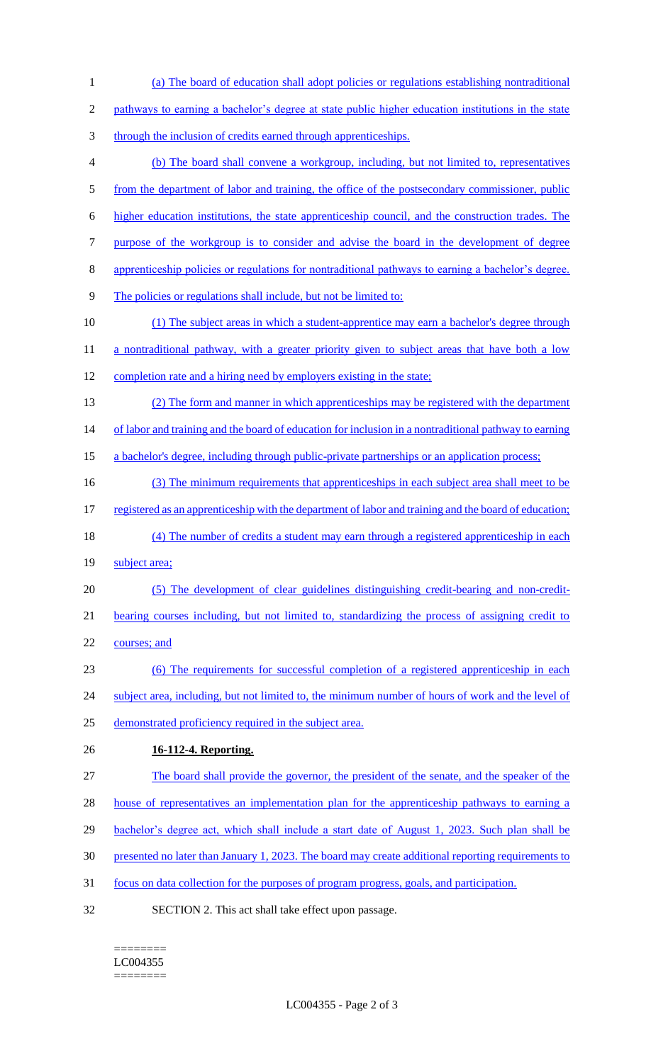(a) The board of education shall adopt policies or regulations establishing nontraditional pathways to earning a bachelor's degree at state public higher education institutions in the state through the inclusion of credits earned through apprenticeships. (b) The board shall convene a workgroup, including, but not limited to, representatives 5 from the department of labor and training, the office of the postsecondary commissioner, public higher education institutions, the state apprenticeship council, and the construction trades. The purpose of the workgroup is to consider and advise the board in the development of degree apprenticeship policies or regulations for nontraditional pathways to earning a bachelor's degree. The policies or regulations shall include, but not be limited to: (1) The subject areas in which a student-apprentice may earn a bachelor's degree through 11 a nontraditional pathway, with a greater priority given to subject areas that have both a low 12 completion rate and a hiring need by employers existing in the state; (2) The form and manner in which apprenticeships may be registered with the department 14 of labor and training and the board of education for inclusion in a nontraditional pathway to earning 15 a bachelor's degree, including through public-private partnerships or an application process; (3) The minimum requirements that apprenticeships in each subject area shall meet to be 17 registered as an apprenticeship with the department of labor and training and the board of education; 18 (4) The number of credits a student may earn through a registered apprenticeship in each **subject area;**  (5) The development of clear guidelines distinguishing credit-bearing and non-credit- bearing courses including, but not limited to, standardizing the process of assigning credit to courses; and (6) The requirements for successful completion of a registered apprenticeship in each 24 subject area, including, but not limited to, the minimum number of hours of work and the level of demonstrated proficiency required in the subject area. **16-112-4. Reporting.**  The board shall provide the governor, the president of the senate, and the speaker of the 28 house of representatives an implementation plan for the apprenticeship pathways to earning a 29 bachelor's degree act, which shall include a start date of August 1, 2023. Such plan shall be presented no later than January 1, 2023. The board may create additional reporting requirements to focus on data collection for the purposes of program progress, goals, and participation. SECTION 2. This act shall take effect upon passage.

#### ======== LC004355

========